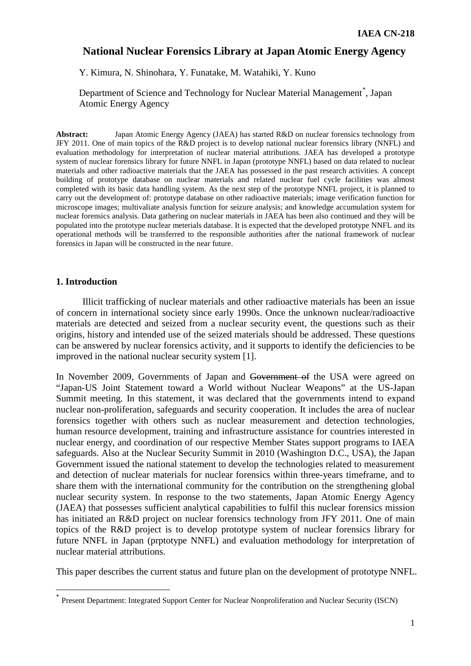## **National Nuclear Forensics Library at Japan Atomic Energy Agency**

Y. Kimura, N. Shinohara, Y. Funatake, M. Watahiki, Y. Kuno

Department of Science and Technology for Nuclear Material Management<sup>[\\*](#page-0-0)</sup>, Japan Atomic Energy Agency

Abstract: Japan Atomic Energy Agency (JAEA) has started R&D on nuclear forensics technology from JFY 2011. One of main topics of the R&D project is to develop national nuclear forensics library (NNFL) and evaluation methodology for interpretation of nuclear material attributions. JAEA has developed a prototype system of nuclear forensics library for future NNFL in Japan (prototype NNFL) based on data related to nuclear materials and other radioactive materials that the JAEA has possessed in the past research activities. A concept building of prototype database on nuclear materials and related nuclear fuel cycle facilities was almost completed with its basic data handling system. As the next step of the prototype NNFL project, it is planned to carry out the development of: prototype database on other radioactive materials; image verification function for microscope images; multivaliate analysis function for seizure analysis; and knowledge accumulation system for nuclear forensics analysis. Data gathering on nuclear materials in JAEA has been also continued and they will be populated into the prototype nuclear meterials database. It is expected that the developed prototype NNFL and its operational methods will be transferred to the responsible authorities after the national framework of nuclear forensics in Japan will be constructed in the near future.

### **1. Introduction**

Illicit trafficking of nuclear materials and other radioactive materials has been an issue of concern in international society since early 1990s. Once the unknown nuclear/radioactive materials are detected and seized from a nuclear security event, the questions such as their origins, history and intended use of the seized materials should be addressed. These questions can be answered by nuclear forensics activity, and it supports to identify the deficiencies to be improved in the national nuclear security system [1].

In November 2009, Governments of Japan and Government of the USA were agreed on "Japan-US Joint Statement toward a World without Nuclear Weapons" at the US-Japan Summit meeting. In this statement, it was declared that the governments intend to expand nuclear non-proliferation, safeguards and security cooperation. It includes the area of nuclear forensics together with others such as nuclear measurement and detection technologies, human resource development, training and infrastructure assistance for countries interested in nuclear energy, and coordination of our respective Member States support programs to IAEA safeguards. Also at the Nuclear Security Summit in 2010 (Washington D.C., USA), the Japan Government issued the national statement to develop the technologies related to measurement and detection of nuclear materials for nuclear forensics within three-years timeframe, and to share them with the international community for the contribution on the strengthening global nuclear security system. In response to the two statements, Japan Atomic Energy Agency (JAEA) that possesses sufficient analytical capabilities to fulfil this nuclear forensics mission has initiated an R&D project on nuclear forensics technology from JFY 2011. One of main topics of the R&D project is to develop prototype system of nuclear forensics library for future NNFL in Japan (prptotype NNFL) and evaluation methodology for interpretation of nuclear material attributions.

This paper describes the current status and future plan on the development of prototype NNFL.

<span id="page-0-0"></span>Present Department: Integrated Support Center for Nuclear Nonproliferation and Nuclear Security (ISCN)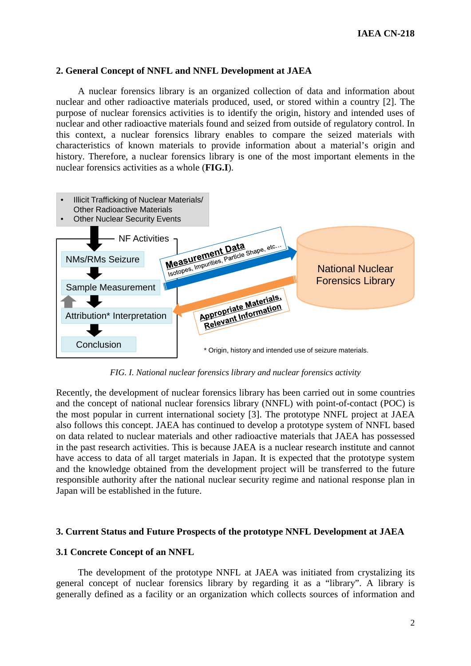### **2. General Concept of NNFL and NNFL Development at JAEA**

A nuclear forensics library is an organized collection of data and information about nuclear and other radioactive materials produced, used, or stored within a country [2]. The purpose of nuclear forensics activities is to identify the origin, history and intended uses of nuclear and other radioactive materials found and seized from outside of regulatory control. In this context, a nuclear forensics library enables to compare the seized materials with characteristics of known materials to provide information about a material's origin and history. Therefore, a nuclear forensics library is one of the most important elements in the nuclear forensics activities as a whole (**FIG.I**).



*FIG. I. National nuclear forensics library and nuclear forensics activity*

Recently, the development of nuclear forensics library has been carried out in some countries and the concept of national nuclear forensics library (NNFL) with point-of-contact (POC) is the most popular in current international society [3]. The prototype NNFL project at JAEA also follows this concept. JAEA has continued to develop a prototype system of NNFL based on data related to nuclear materials and other radioactive materials that JAEA has possessed in the past research activities. This is because JAEA is a nuclear research institute and cannot have access to data of all target materials in Japan. It is expected that the prototype system and the knowledge obtained from the development project will be transferred to the future responsible authority after the national nuclear security regime and national response plan in Japan will be established in the future.

### **3. Current Status and Future Prospects of the prototype NNFL Development at JAEA**

#### **3.1 Concrete Concept of an NNFL**

The development of the prototype NNFL at JAEA was initiated from crystalizing its general concept of nuclear forensics library by regarding it as a "library". A library is generally defined as a facility or an organization which collects sources of information and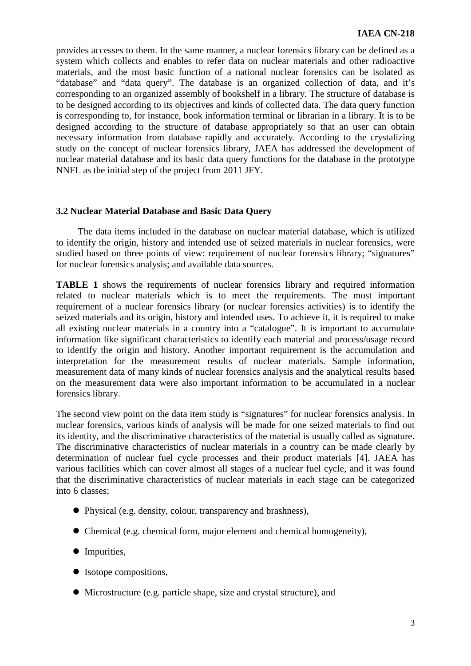provides accesses to them. In the same manner, a nuclear forensics library can be defined as a system which collects and enables to refer data on nuclear materials and other radioactive materials, and the most basic function of a national nuclear forensics can be isolated as "database" and "data query". The database is an organized collection of data, and it's corresponding to an organized assembly of bookshelf in a library. The structure of database is to be designed according to its objectives and kinds of collected data. The data query function is corresponding to, for instance, book information terminal or librarian in a library. It is to be designed according to the structure of database appropriately so that an user can obtain necessary information from database rapidly and accurately. According to the crystalizing study on the concept of nuclear forensics library, JAEA has addressed the development of nuclear material database and its basic data query functions for the database in the prototype NNFL as the initial step of the project from 2011 JFY.

### **3.2 Nuclear Material Database and Basic Data Query**

The data items included in the database on nuclear material database, which is utilized to identify the origin, history and intended use of seized materials in nuclear forensics, were studied based on three points of view: requirement of nuclear forensics library; "signatures" for nuclear forensics analysis; and available data sources.

**TABLE 1** shows the requirements of nuclear forensics library and required information related to nuclear materials which is to meet the requirements. The most important requirement of a nuclear forensics library (or nuclear forensics activities) is to identify the seized materials and its origin, history and intended uses. To achieve it, it is required to make all existing nuclear materials in a country into a "catalogue". It is important to accumulate information like significant characteristics to identify each material and process/usage record to identify the origin and history. Another important requirement is the accumulation and interpretation for the measurement results of nuclear materials. Sample information, measurement data of many kinds of nuclear forensics analysis and the analytical results based on the measurement data were also important information to be accumulated in a nuclear forensics library.

The second view point on the data item study is "signatures" for nuclear forensics analysis. In nuclear forensics, various kinds of analysis will be made for one seized materials to find out its identity, and the discriminative characteristics of the material is usually called as signature. The discriminative characteristics of nuclear materials in a country can be made clearly by determination of nuclear fuel cycle processes and their product materials [4]. JAEA has various facilities which can cover almost all stages of a nuclear fuel cycle, and it was found that the discriminative characteristics of nuclear materials in each stage can be categorized into 6 classes;

- Physical (e.g. density, colour, transparency and brashness),
- Chemical (e.g. chemical form, major element and chemical homogeneity),
- Impurities,
- Isotope compositions,
- Microstructure (e.g. particle shape, size and crystal structure), and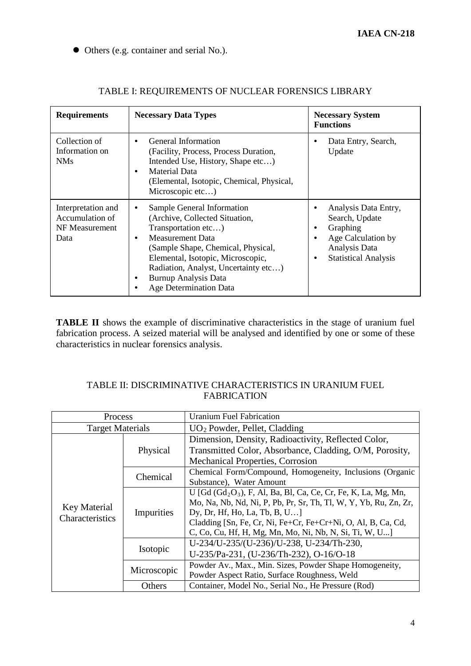Others (e.g. container and serial No.).

| <b>Requirements</b>                                             | <b>Necessary Data Types</b>                                                                                                                                                                                                                                                                                       | <b>Necessary System</b><br><b>Functions</b>                                                                                                  |  |
|-----------------------------------------------------------------|-------------------------------------------------------------------------------------------------------------------------------------------------------------------------------------------------------------------------------------------------------------------------------------------------------------------|----------------------------------------------------------------------------------------------------------------------------------------------|--|
| Collection of<br>Information on<br>NM <sub>s</sub>              | General Information<br>$\bullet$<br>(Facility, Process, Process Duration,<br>Intended Use, History, Shape etc)<br>Material Data<br>$\bullet$<br>(Elemental, Isotopic, Chemical, Physical,<br>Microscopic etc)                                                                                                     | Data Entry, Search,<br>٠<br>Update                                                                                                           |  |
| Interpretation and<br>Accumulation of<br>NF Measurement<br>Data | Sample General Information<br>$\bullet$<br>(Archive, Collected Situation,<br>Transportation etc)<br><b>Measurement Data</b><br>٠<br>(Sample Shape, Chemical, Physical,<br>Elemental, Isotopic, Microscopic,<br>Radiation, Analyst, Uncertainty etc)<br><b>Burnup Analysis Data</b><br>٠<br>Age Determination Data | Analysis Data Entry,<br>٠<br>Search, Update<br>Graphing<br>٠<br>Age Calculation by<br>٠<br>Analysis Data<br><b>Statistical Analysis</b><br>٠ |  |

# TABLE I: REQUIREMENTS OF NUCLEAR FORENSICS LIBRARY

**TABLE II** shows the example of discriminative characteristics in the stage of uranium fuel fabrication process. A seized material will be analysed and identified by one or some of these characteristics in nuclear forensics analysis.

### TABLE II: DISCRIMINATIVE CHARACTERISTICS IN URANIUM FUEL FABRICATION

| <b>Process</b>                  |             | <b>Uranium Fuel Fabrication</b>                                   |  |  |
|---------------------------------|-------------|-------------------------------------------------------------------|--|--|
| <b>Target Materials</b>         |             | $UO2$ Powder, Pellet, Cladding                                    |  |  |
| Key Material<br>Characteristics |             | Dimension, Density, Radioactivity, Reflected Color,               |  |  |
|                                 | Physical    | Transmitted Color, Absorbance, Cladding, O/M, Porosity,           |  |  |
|                                 |             | Mechanical Properties, Corrosion                                  |  |  |
|                                 | Chemical    | Chemical Form/Compound, Homogeneity, Inclusions (Organic          |  |  |
|                                 |             | Substance), Water Amount                                          |  |  |
|                                 | Impurities  | U [Gd $(Gd_2O_3)$ , F, Al, Ba, Bl, Ca, Ce, Cr, Fe, K, La, Mg, Mn, |  |  |
|                                 |             | Mo, Na, Nb, Nd, Ni, P, Pb, Pr, Sr, Th, Tl, W, Y, Yb, Ru, Zn, Zr,  |  |  |
|                                 |             | Dy, Dr, Hf, Ho, La, Tb, B, U                                      |  |  |
|                                 |             | Cladding [Sn, Fe, Cr, Ni, Fe+Cr, Fe+Cr+Ni, O, Al, B, Ca, Cd,      |  |  |
|                                 |             | C, Co, Cu, Hf, H, Mg, Mn, Mo, Ni, Nb, N, Si, Ti, W, U]            |  |  |
|                                 | Isotopic    | U-234/U-235/(U-236)/U-238, U-234/Th-230,                          |  |  |
|                                 |             | U-235/Pa-231, (U-236/Th-232), O-16/O-18                           |  |  |
|                                 | Microscopic | Powder Av., Max., Min. Sizes, Powder Shape Homogeneity,           |  |  |
|                                 |             | Powder Aspect Ratio, Surface Roughness, Weld                      |  |  |
|                                 | Others      | Container, Model No., Serial No., He Pressure (Rod)               |  |  |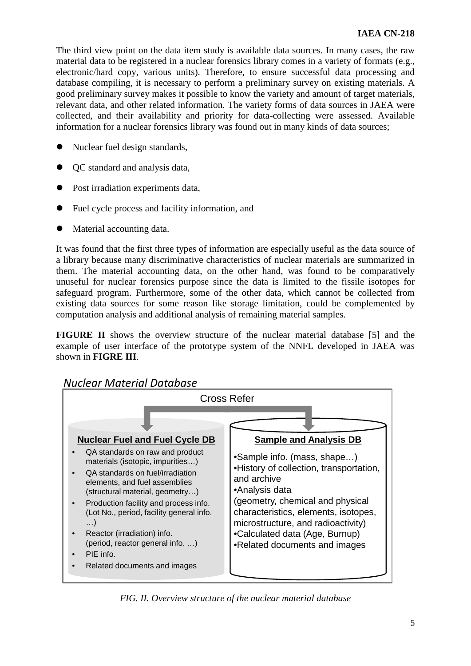The third view point on the data item study is available data sources. In many cases, the raw material data to be registered in a nuclear forensics library comes in a variety of formats (e.g., electronic/hard copy, various units). Therefore, to ensure successful data processing and database compiling, it is necessary to perform a preliminary survey on existing materials. A good preliminary survey makes it possible to know the variety and amount of target materials, relevant data, and other related information. The variety forms of data sources in JAEA were collected, and their availability and priority for data-collecting were assessed. Available information for a nuclear forensics library was found out in many kinds of data sources;

- Nuclear fuel design standards,
- QC standard and analysis data,
- Post irradiation experiments data,
- Fuel cycle process and facility information, and
- Material accounting data.

It was found that the first three types of information are especially useful as the data source of a library because many discriminative characteristics of nuclear materials are summarized in them. The material accounting data, on the other hand, was found to be comparatively unuseful for nuclear forensics purpose since the data is limited to the fissile isotopes for safeguard program. Furthermore, some of the other data, which cannot be collected from existing data sources for some reason like storage limitation, could be complemented by computation analysis and additional analysis of remaining material samples.

**FIGURE II** shows the overview structure of the nuclear material database [5] and the example of user interface of the prototype system of the NNFL developed in JAEA was shown in **FIGRE III**.



*Nuclear Material Database*

*FIG. II. Overview structure of the nuclear material database*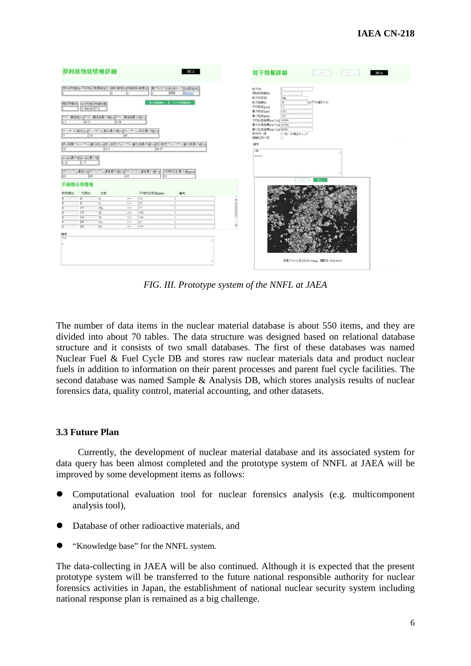|                                                                                                  |                                          | 原料核物質情報詳細                           |           |                                                                              | 閉じる          | 粒子情報詳細<br>三百八<br><b>IRA </b><br>閉じる                                                                               |
|--------------------------------------------------------------------------------------------------|------------------------------------------|-------------------------------------|-----------|------------------------------------------------------------------------------|--------------|-------------------------------------------------------------------------------------------------------------------|
|                                                                                                  |                                          |                                     |           | 原料核物質ID(不純物元業情報会じ) (燃料要素ID) (機材燃料要素ID) (観ブロセスID) 処理タイプ 処理施設名<br>1910         | <b>HIMAC</b> | 粒子ID<br>í4<br>Ë<br>原料结构辅助<br>約子形状ID                                                                               |
| 45                                                                                               | 视频物質ID 化学形態 物理形態<br>U-Abc-Al グル<br>14.73 | ウラン濃縮度[5] ウラン濃縮度最大値[5] ウラン濃縮度最小値[5] | 4.29      | 粒子情報表示                                                                       | サンプル情報表示     | の峰<br>粒子视模比<br>山に下の値を入力<br>86<br>平均粒径fuml<br>1.6<br>最大粒径[um]<br>1.76<br>最小粒径[um]<br>1.45<br>干均比表面精[cm^2/g] 160000 |
|                                                                                                  | .74                                      |                                     | 57        | フィッサイル割合[%]フィッサイル割合最大値[%]フィッサイル割合最小値[%]                                      |              | 最大比表面精[cm^2'g] 161000<br>最小比表面精[cm^2/g] 96000<br>形状均一性<br>□均一の場合チェック<br>视機比均一性<br>$\Box$                          |
| ※分裂製プルトニウム富化度[%] ※分裂性プルトニウム富化度最大値[%] ※分裂性プルトニウム富化度最小値[%]<br>30<br>31.5<br>28.57<br>OM比最大値 OM比最小値 |                                          |                                     |           |                                                                              |              | 備考<br>八楼<br>100000                                                                                                |
| 2.32<br>55<br>极物質ID                                                                              | 1.77<br>88<br>不純物元素情報<br>元素ID            | 元素                                  | 82        | カドリニウム農床[%] カドリニウム農床最大値[%] カドリニウム農床最小値[%] 不純物合計最大値[ppm]<br>54<br>不純物含有值[ppm] | 備考           | 次へー<br>$1 - 12 - 1$                                                                                               |
| 14                                                                                               | $\sqrt{5}$                               | B                                   | q         | 18                                                                           |              |                                                                                                                   |
| <b>F</b>                                                                                         | ſε                                       | $\overline{c}$                      | <b>CH</b> | 57                                                                           |              |                                                                                                                   |
| ū                                                                                                | 12                                       | Mg                                  | cir.      | 11.                                                                          |              |                                                                                                                   |
| ū                                                                                                | $\boxed{13}$                             | AJ.                                 | los.      | 150                                                                          |              |                                                                                                                   |
| $\overline{u}$                                                                                   | $\sqrt{14}$                              | $\overline{\mathbf{s}}$             | lew       | 144                                                                          |              |                                                                                                                   |
| E                                                                                                | $\sqrt{20}$                              | Ca                                  | <         | 21                                                                           |              |                                                                                                                   |
| $\sqrt{4}$                                                                                       | 26                                       | Fe                                  | co        | 319                                                                          |              |                                                                                                                   |
| 備考                                                                                               |                                          |                                     |           |                                                                              |              |                                                                                                                   |
| グル<br>ls.                                                                                        |                                          |                                     |           |                                                                              |              |                                                                                                                   |
|                                                                                                  |                                          |                                     |           |                                                                              |              | 写真ファイル名:DUO2-1.bmp 掲影日:2014:04:11                                                                                 |

*FIG. III. Prototype system of the NNFL at JAEA*

The number of data items in the nuclear material database is about 550 items, and they are divided into about 70 tables. The data structure was designed based on relational database structure and it consists of two small databases. The first of these databases was named Nuclear Fuel & Fuel Cycle DB and stores raw nuclear materials data and product nuclear fuels in addition to information on their parent processes and parent fuel cycle facilities. The second database was named Sample & Analysis DB, which stores analysis results of nuclear forensics data, quality control, material accounting, and other datasets.

## **3.3 Future Plan**

Currently, the development of nuclear material database and its associated system for data query has been almost completed and the prototype system of NNFL at JAEA will be improved by some development items as follows:

- Computational evaluation tool for nuclear forensics analysis (e.g. multicomponent analysis tool),
- Database of other radioactive materials, and
- "Knowledge base" for the NNFL system.

The data-collecting in JAEA will be also continued. Although it is expected that the present prototype system will be transferred to the future national responsible authority for nuclear forensics activities in Japan, the establishment of national nuclear security system including national response plan is remained as a big challenge.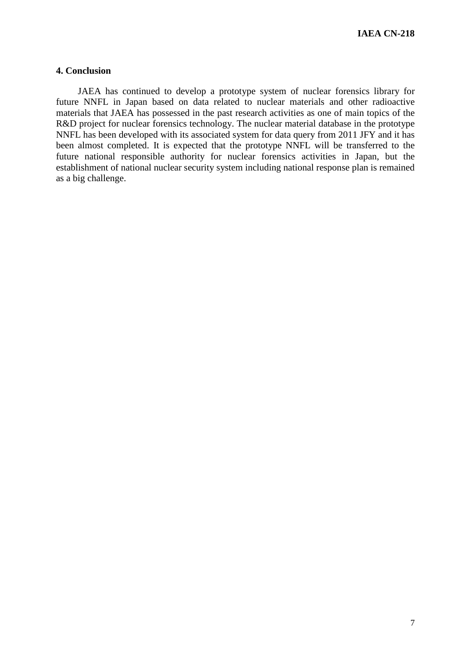### **4. Conclusion**

JAEA has continued to develop a prototype system of nuclear forensics library for future NNFL in Japan based on data related to nuclear materials and other radioactive materials that JAEA has possessed in the past research activities as one of main topics of the R&D project for nuclear forensics technology. The nuclear material database in the prototype NNFL has been developed with its associated system for data query from 2011 JFY and it has been almost completed. It is expected that the prototype NNFL will be transferred to the future national responsible authority for nuclear forensics activities in Japan, but the establishment of national nuclear security system including national response plan is remained as a big challenge.